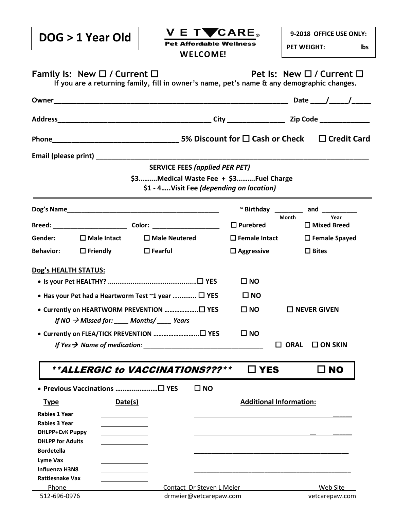| DOG > 1 Year Old                                                                                                                                                                               | V E T <b>V</b> CARE。<br><b>Pet Affordable Wellness</b> |                                | 9-2018 OFFICE USE ONLY:<br><b>PET WEIGHT:</b><br>lbs |  |
|------------------------------------------------------------------------------------------------------------------------------------------------------------------------------------------------|--------------------------------------------------------|--------------------------------|------------------------------------------------------|--|
| <b>WELCOME!</b><br>Family Is: New $\Box$ / Current $\Box$<br>Pet Is: New $\Box$ / Current $\Box$<br>If you are a returning family, fill in owner's name, pet's name & any demographic changes. |                                                        |                                |                                                      |  |
|                                                                                                                                                                                                |                                                        |                                |                                                      |  |
|                                                                                                                                                                                                |                                                        |                                |                                                      |  |
|                                                                                                                                                                                                |                                                        |                                |                                                      |  |
|                                                                                                                                                                                                |                                                        |                                |                                                      |  |
|                                                                                                                                                                                                | <b>SERVICE FEES (applied PER PET)</b>                  |                                |                                                      |  |
|                                                                                                                                                                                                | \$3Medical Waste Fee + \$3Fuel Charge                  |                                |                                                      |  |
|                                                                                                                                                                                                | \$1 - 4Visit Fee (depending on location)               |                                |                                                      |  |
|                                                                                                                                                                                                |                                                        |                                | ~ Birthday __________ and __________                 |  |
|                                                                                                                                                                                                |                                                        | $\square$ Purebred             | Year<br>Month<br>$\Box$ Mixed Breed                  |  |
| Gender:<br>$\square$ Male Intact                                                                                                                                                               | $\square$ Male Neutered                                | $\square$ Female Intact        | $\square$ Female Spayed                              |  |
| $\square$ Friendly<br><b>Behavior:</b>                                                                                                                                                         | $\square$ Fearful                                      | $\square$ Aggressive           | $\Box$ Bites                                         |  |
| Dog's HEALTH STATUS:                                                                                                                                                                           |                                                        |                                |                                                      |  |
|                                                                                                                                                                                                |                                                        | $\square$ NO                   |                                                      |  |
| • Has your Pet had a Heartworm Test $\sim$ 1 year $\Box$ YES                                                                                                                                   |                                                        | $\square$ NO                   |                                                      |  |
| ● Currently on HEARTWORM PREVENTION □ YES<br>$\square$ NO<br>$\square$ NEVER GIVEN<br>If NO $\rightarrow$ Missed for: Months/ Years                                                            |                                                        |                                |                                                      |  |
|                                                                                                                                                                                                |                                                        | $\square$ NO                   |                                                      |  |
|                                                                                                                                                                                                | If Yes $\rightarrow$ Name of medication:               |                                | $\Box$ ORAL<br>$\Box$ ON SKIN                        |  |
|                                                                                                                                                                                                |                                                        |                                |                                                      |  |
| **ALLERGIC to VACCINATIONS???**                                                                                                                                                                |                                                        | $\square$ YES                  | $\square$ NO                                         |  |
|                                                                                                                                                                                                | $\square$ NO                                           |                                |                                                      |  |
| Date(s)<br><b>Type</b>                                                                                                                                                                         |                                                        | <b>Additional Information:</b> |                                                      |  |
| <b>Rabies 1 Year</b>                                                                                                                                                                           |                                                        |                                |                                                      |  |
| <b>Rabies 3 Year</b>                                                                                                                                                                           |                                                        |                                |                                                      |  |
| <b>DHLPP+CvK Puppy</b>                                                                                                                                                                         |                                                        |                                |                                                      |  |
| <b>DHLPP for Adults</b>                                                                                                                                                                        |                                                        |                                |                                                      |  |
| <b>Bordetella</b>                                                                                                                                                                              |                                                        |                                |                                                      |  |
| <b>Lyme Vax</b>                                                                                                                                                                                |                                                        |                                |                                                      |  |
| <b>Influenza H3N8</b>                                                                                                                                                                          |                                                        |                                |                                                      |  |
| <b>Rattlesnake Vax</b>                                                                                                                                                                         |                                                        |                                |                                                      |  |
| Phone                                                                                                                                                                                          | Contact Dr Steven L Meier                              |                                | Web Site                                             |  |
| 512-696-0976                                                                                                                                                                                   | drmeier@vetcarepaw.com                                 |                                | vetcarepaw.com                                       |  |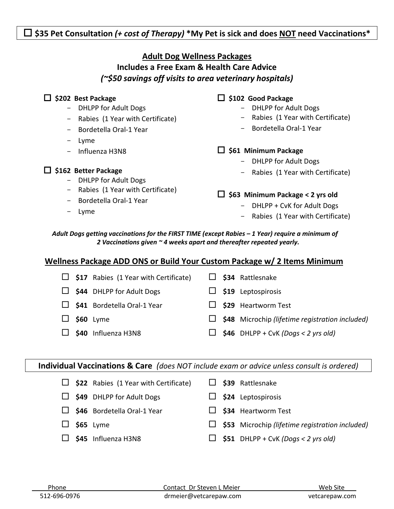## **\$35 Pet Consultation** *(+ cost of Therapy)* **\*My Pet is sick and does NOT need Vaccinations\***

### **Adult Dog Wellness Packages Includes a Free Exam & Health Care Advice**

*(~\$50 savings off visits to area veterinary hospitals)*

| \$202 Best Package                                                 | \$102 Good Package                                                                                                                                       |
|--------------------------------------------------------------------|----------------------------------------------------------------------------------------------------------------------------------------------------------|
| <b>DHLPP for Adult Dogs</b>                                        | <b>DHLPP for Adult Dogs</b>                                                                                                                              |
| - Rabies (1 Year with Certificate)                                 | Rabies (1 Year with Certificate)                                                                                                                         |
| - Bordetella Oral-1 Year                                           | $\qquad \qquad \blacksquare$                                                                                                                             |
| Lyme                                                               | Bordetella Oral-1 Year                                                                                                                                   |
| - Influenza H3N8<br>\$162 Better Package<br>- DHLPP for Adult Dogs | \$61 Minimum Package<br>ப<br><b>DHLPP for Adult Dogs</b><br>$\overline{\phantom{0}}$<br>Rabies (1 Year with Certificate)<br>$\qquad \qquad \blacksquare$ |
| Rabies (1 Year with Certificate)                                   | \$63 Minimum Package < 2 yrs old                                                                                                                         |
| $\sim$                                                             | ப                                                                                                                                                        |
| - Bordetella Oral-1 Year                                           | DHLPP + CvK for Adult Dogs                                                                                                                               |
| - Lyme                                                             | Rabies (1 Year with Certificate)                                                                                                                         |

#### *Adult Dogs getting vaccinations for the FIRST TIME (except Rabies – 1 Year) require a minimum of 2 Vaccinations given ~ 4 weeks apart and thereafter repeated yearly.*

### **Wellness Package ADD ONS or Build Your Custom Package w/ 2 Items Minimum**

|  | $\Box$ \$17 Rabies (1 Year with Certificate) |  | \$34 Rattlesnake                                       |
|--|----------------------------------------------|--|--------------------------------------------------------|
|  | $\Box$ \$44 DHLPP for Adult Dogs             |  | $\Box$ \$19 Leptospirosis                              |
|  | $\Box$ \$41 Bordetella Oral-1 Year           |  | \$29 Heartworm Test                                    |
|  | $$60$ Lyme                                   |  | $\Box$ \$48 Microchip (lifetime registration included) |
|  | \$40 Influenza H3N8                          |  | $$46$ DHLPP + CvK (Dogs < 2 yrs old)                   |
|  |                                              |  |                                                        |

**Individual Vaccinations & Care** *(does NOT include exam or advice unless consult is ordered)*

 **\$22** Rabies (1 Year with Certificate) **\$39** Rattlesnake **\$49** DHLPP for Adult Dogs **\$24** Leptospirosis **\$46** Bordetella Oral-1 Year **\$34** Heartworm Test **\$65** Lyme **\$53** Microchip *(lifetime registration included)*  $\Box$  \$45 Influenza H3N8  $\Box$  \$51 DHLPP + CvK *(Dogs < 2 yrs old)*